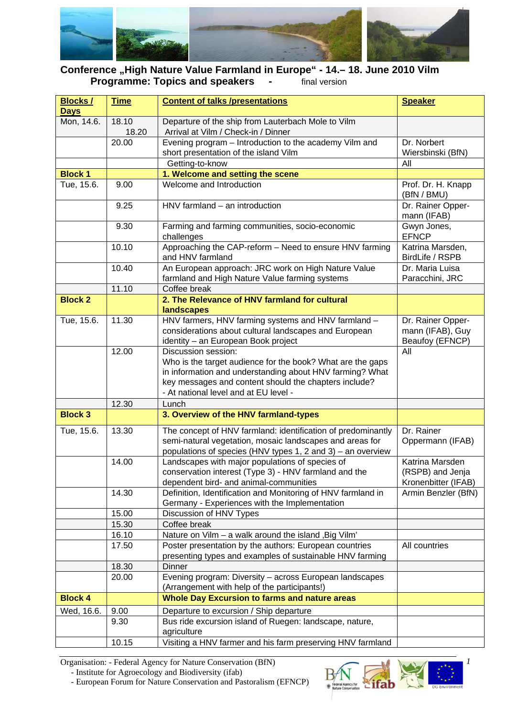

## **Conference "High Nature Value Farmland in Europe" - 14.– 18. June 2010 Vilm Programme: Topics and speakers - Final version**

| <b>Blocks/</b> | <b>Time</b>    | <b>Content of talks /presentations</b>                                                                        | <b>Speaker</b>                      |
|----------------|----------------|---------------------------------------------------------------------------------------------------------------|-------------------------------------|
| <b>Days</b>    |                |                                                                                                               |                                     |
| Mon, 14.6.     | 18.10<br>18.20 | Departure of the ship from Lauterbach Mole to Vilm<br>Arrival at Vilm / Check-in / Dinner                     |                                     |
|                | 20.00          | Evening program - Introduction to the academy Vilm and                                                        | Dr. Norbert                         |
|                |                | short presentation of the island Vilm                                                                         | Wiersbinski (BfN)                   |
|                |                | Getting-to-know                                                                                               | All                                 |
| <b>Block 1</b> |                | 1. Welcome and setting the scene                                                                              |                                     |
| Tue, 15.6.     | 9.00           | Welcome and Introduction                                                                                      | Prof. Dr. H. Knapp<br>(BfN / BMU)   |
|                | 9.25           | HNV farmland - an introduction                                                                                | Dr. Rainer Opper-<br>mann (IFAB)    |
|                | 9.30           | Farming and farming communities, socio-economic<br>challenges                                                 | Gwyn Jones,<br><b>EFNCP</b>         |
|                | 10.10          | Approaching the CAP-reform - Need to ensure HNV farming<br>and HNV farmland                                   | Katrina Marsden,<br>BirdLife / RSPB |
|                | 10.40          | An European approach: JRC work on High Nature Value                                                           | Dr. Maria Luisa                     |
|                |                | farmland and High Nature Value farming systems                                                                | Paracchini, JRC                     |
|                | 11.10          | Coffee break                                                                                                  |                                     |
| <b>Block 2</b> |                | 2. The Relevance of HNV farmland for cultural                                                                 |                                     |
|                |                | landscapes                                                                                                    |                                     |
| Tue, 15.6.     | 11.30          | HNV farmers, HNV farming systems and HNV farmland -                                                           | Dr. Rainer Opper-                   |
|                |                | considerations about cultural landscapes and European                                                         | mann (IFAB), Guy                    |
|                | 12.00          | identity - an European Book project<br>Discussion session:                                                    | Beaufoy (EFNCP)<br>All              |
|                |                | Who is the target audience for the book? What are the gaps                                                    |                                     |
|                |                | in information and understanding about HNV farming? What                                                      |                                     |
|                |                | key messages and content should the chapters include?                                                         |                                     |
|                |                | - At national level and at EU level -                                                                         |                                     |
|                | 12.30          | Lunch                                                                                                         |                                     |
| <b>Block 3</b> |                | 3. Overview of the HNV farmland-types                                                                         |                                     |
| Tue, 15.6.     | 13.30          | The concept of HNV farmland: identification of predominantly                                                  | Dr. Rainer                          |
|                |                | semi-natural vegetation, mosaic landscapes and areas for                                                      | Oppermann (IFAB)                    |
|                |                | populations of species (HNV types 1, 2 and 3) - an overview                                                   |                                     |
|                | 14.00          | Landscapes with major populations of species of                                                               | Katrina Marsden                     |
|                |                | conservation interest (Type 3) - HNV farmland and the                                                         | (RSPB) and Jenja                    |
|                |                | dependent bird- and animal-communities                                                                        | Kronenbitter (IFAB)                 |
|                | 14.30          | Definition, Identification and Monitoring of HNV farmland in<br>Germany - Experiences with the Implementation | Armin Benzler (BfN)                 |
|                | 15.00          | Discussion of HNV Types                                                                                       |                                     |
|                | 15.30          | Coffee break                                                                                                  |                                     |
|                | 16.10          | Nature on Vilm - a walk around the island, Big Vilm'                                                          |                                     |
|                | 17.50          | Poster presentation by the authors: European countries                                                        | All countries                       |
|                |                | presenting types and examples of sustainable HNV farming                                                      |                                     |
|                | 18.30          | Dinner                                                                                                        |                                     |
|                | 20.00          | Evening program: Diversity - across European landscapes<br>(Arrangement with help of the participants!)       |                                     |
| <b>Block 4</b> |                | <b>Whole Day Excursion to farms and nature areas</b>                                                          |                                     |
|                |                |                                                                                                               |                                     |
| Wed, 16.6.     | 9.00<br>9.30   | Departure to excursion / Ship departure                                                                       |                                     |
|                |                | Bus ride excursion island of Ruegen: landscape, nature,<br>agriculture                                        |                                     |
|                | 10.15          | Visiting a HNV farmer and his farm preserving HNV farmland                                                    |                                     |

Organisation: - Federal Agency for Nature Conservation (BfN)

- Institute for Agroecology and Biodiversity (ifab)

- European Forum for Nature Conservation and Pastoralism (EFNCP)



*1*